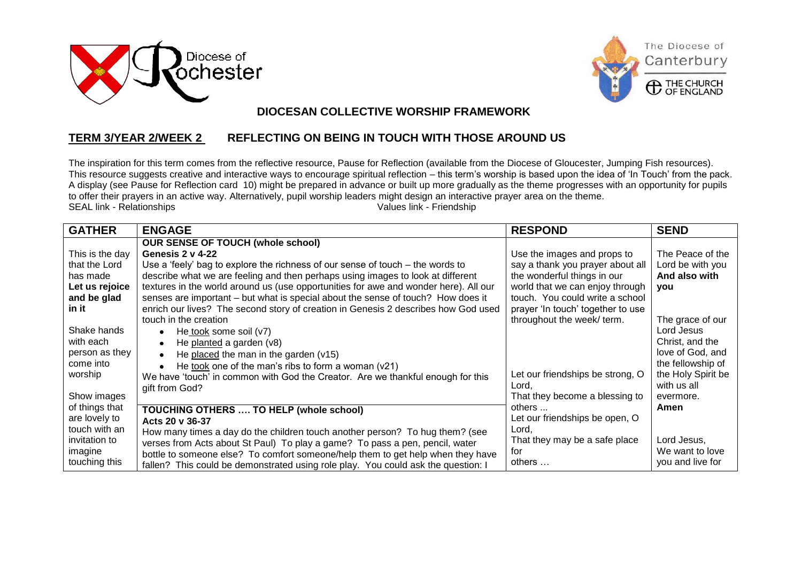





## $\overline{a}$  **DIOCESAN COLLECTIVE WORSHIP FRAMEWORK**

## **TERM 3/YEAR 2/WEEK 2 REFLECTING ON BEING IN TOUCH WITH THOSE AROUND US**

The inspiration for this term comes from the reflective resource, Pause for Reflection (available from the Diocese of Gloucester, Jumping Fish resources). This resource suggests creative and interactive ways to encourage spiritual reflection – this term's worship is based upon the idea of 'In Touch' from the pack. A display (see Pause for Reflection card 10) might be prepared in advance or built up more gradually as the theme progresses with an opportunity for pupils to offer their prayers in an active way. Alternatively, pupil worship leaders might design an interactive prayer area on the theme.<br>SEAL link - Relationships<br>Values link - Friendship SEAL link - Relationships

| <b>GATHER</b>   | <b>ENGAGE</b>                                                                        | <b>RESPOND</b>                    | <b>SEND</b>        |
|-----------------|--------------------------------------------------------------------------------------|-----------------------------------|--------------------|
|                 | <b>OUR SENSE OF TOUCH (whole school)</b>                                             |                                   |                    |
| This is the day | Genesis 2 v 4-22                                                                     | Use the images and props to       | The Peace of the   |
| that the Lord   | Use a 'feely' bag to explore the richness of our sense of touch $-$ the words to     | say a thank you prayer about all  | Lord be with you   |
| has made        | describe what we are feeling and then perhaps using images to look at different      | the wonderful things in our       | And also with      |
| Let us rejoice  | textures in the world around us (use opportunities for awe and wonder here). All our | world that we can enjoy through   | you                |
| and be glad     | senses are important – but what is special about the sense of touch? How does it     | touch. You could write a school   |                    |
| in it           | enrich our lives? The second story of creation in Genesis 2 describes how God used   | prayer 'In touch' together to use |                    |
|                 | touch in the creation                                                                | throughout the week/term.         | The grace of our   |
| Shake hands     | He took some soil $(v7)$                                                             |                                   | Lord Jesus         |
| with each       | He planted a garden (v8)                                                             |                                   | Christ, and the    |
| person as they  | He placed the man in the garden $(v15)$                                              |                                   | love of God, and   |
| come into       | He took one of the man's ribs to form a woman (v21)                                  |                                   | the fellowship of  |
| worship         | We have 'touch' in common with God the Creator. Are we thankful enough for this      | Let our friendships be strong, O  | the Holy Spirit be |
|                 | gift from God?                                                                       | Lord,                             | with us all        |
| Show images     |                                                                                      | That they become a blessing to    | evermore.          |
| of things that  | <b>TOUCHING OTHERS  TO HELP (whole school)</b>                                       | others                            | Amen               |
| are lovely to   | Acts 20 v 36-37                                                                      | Let our friendships be open, O    |                    |
| touch with an   | How many times a day do the children touch another person? To hug them? (see         | Lord,                             |                    |
| invitation to   | verses from Acts about St Paul) To play a game? To pass a pen, pencil, water         | That they may be a safe place     | Lord Jesus,        |
| imagine         | bottle to someone else? To comfort someone/help them to get help when they have      | for                               | We want to love    |
| touching this   | fallen? This could be demonstrated using role play. You could ask the question: I    | others                            | you and live for   |